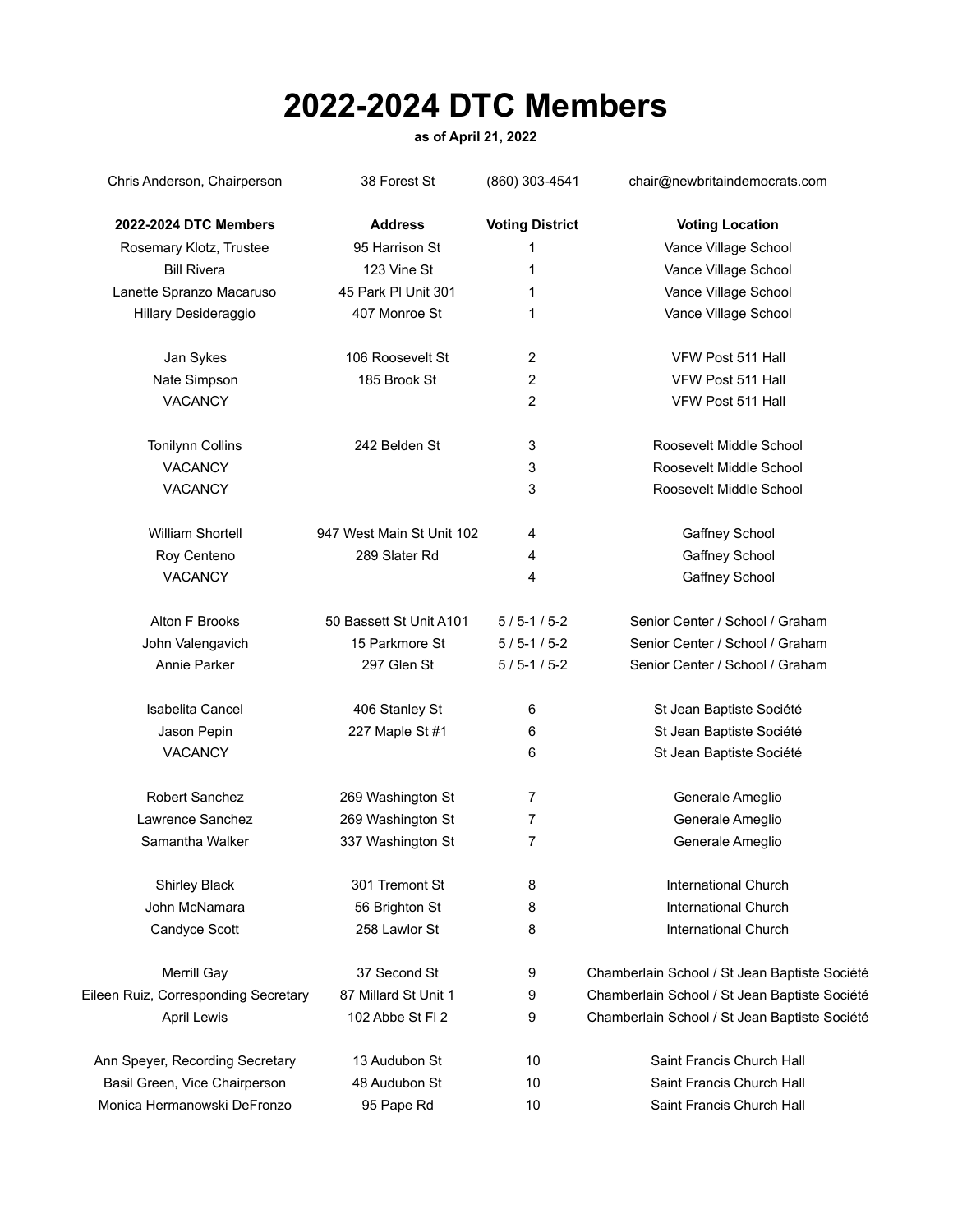## **2022-2024 DTC Members**

## **as of April 21, 2022**

Chris Anderson, Chairperson 38 Forest St (860) 303-4541 chair@newbritaindemocrats.com **2022-2024 DTC Members Address Voting District Voting Location** Rosemary Klotz, Trustee **85 Harrison St** 1 95 Harrison St 1 9 Nance Village School Bill Rivera **123 Vine St** 1 Vance Village School **1** Vance Village School Lanette Spranzo Macaruso **45 Park Pl Unit 301** 1 Vance Village School Hillary Desideraggio 407 Monroe St 1 Vance Village School Jan Sykes 106 Roosevelt St 2 VFW Post 511 Hall Nate Simpson 185 Brook St 2 VFW Post 511 Hall VACANCY 2 VFW Post 511 Hall Tonilynn Collins 242 Belden St 3 Roosevelt Middle School VACANCY 3 Roosevelt Middle School VACANCY 3 Roosevelt Middle School William Shortell **947 West Main St Unit 102** 4 Gaffney School Roy Centeno 289 Slater Rd 4 Gaffney School 2008 Slater Rd 4 Gaffney School VACANCY **A Gallery School 4** Gallery School **4** Gallery School Alton F Brooks 50 Bassett St Unit A101 5 / 5-1 / 5-2 Senior Center / School / Graham John Valengavich 15 Parkmore St 5 / 5-1 / 5-2 Senior Center / School / Graham Annie Parker 297 Glen St 5/5-1/5-2 Senior Center / School / Graham Isabelita Cancel **406 Stanley St** 6 Stanley St Jean Baptiste Société Jason Pepin 227 Maple St #1 6 St Jean Baptiste Société VACANCY **6** St Jean Baptiste Société **6** St Jean Baptiste Société Robert Sanchez 269 Washington St 7 Generale Ameglio Lawrence Sanchez 269 Washington St 7 Generale Ameglio Samantha Walker 337 Washington St 7 Generale Ameglio Shirley Black 301 Tremont St 8 International Church John McNamara 56 Brighton St 8 International Church Candyce Scott 258 Lawlor St 8 International Church Merrill Gay **37 Second St** 9 Chamberlain School / St Jean Baptiste Société Eileen Ruiz, Corresponding Secretary 87 Millard St Unit 1 9 Chamberlain School / St Jean Baptiste Société April Lewis 102 Abbe St Fl 2 9 Chamberlain School / St Jean Baptiste Société Ann Speyer, Recording Secretary 13 Audubon St 10 Saint Francis Church Hall Basil Green, Vice Chairperson 48 Audubon St 10 Saint Francis Church Hall Monica Hermanowski DeFronzo 95 Pape Rd 10 Saint Francis Church Hall